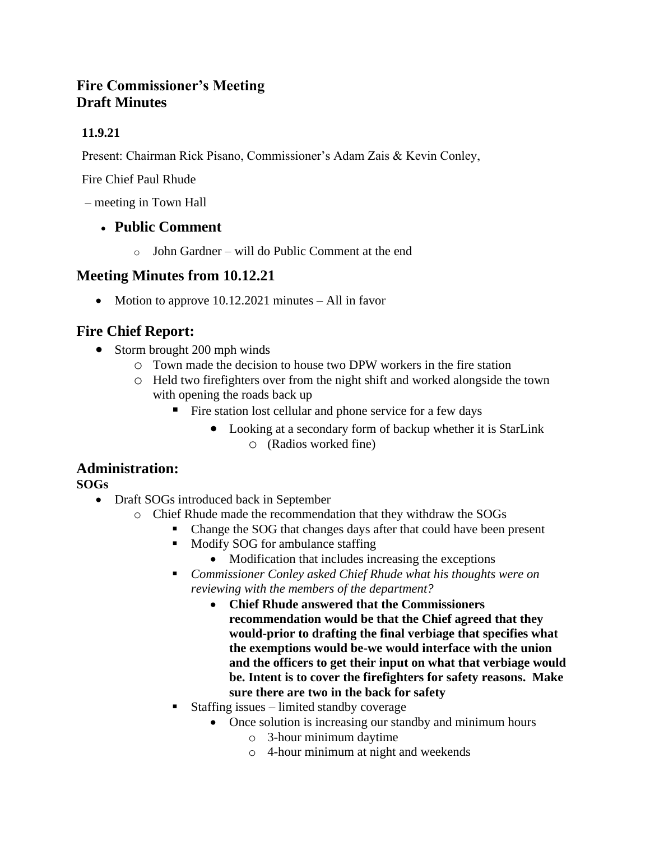## **Fire Commissioner's Meeting Draft Minutes**

## **11.9.21**

Present: Chairman Rick Pisano, Commissioner's Adam Zais & Kevin Conley,

Fire Chief Paul Rhude

– meeting in Town Hall

## • **Public Comment**

o John Gardner – will do Public Comment at the end

## **Meeting Minutes from 10.12.21**

• Motion to approve 10.12.2021 minutes – All in favor

# **Fire Chief Report:**

- Storm brought 200 mph winds
	- o Town made the decision to house two DPW workers in the fire station
	- o Held two firefighters over from the night shift and worked alongside the town with opening the roads back up
		- Fire station lost cellular and phone service for a few days
			- Looking at a secondary form of backup whether it is StarLink o (Radios worked fine)

## **Administration:**

**SOGs**

- Draft SOGs introduced back in September
	- o Chief Rhude made the recommendation that they withdraw the SOGs
		- Change the SOG that changes days after that could have been present
		- Modify SOG for ambulance staffing
			- Modification that includes increasing the exceptions
		- *Commissioner Conley asked Chief Rhude what his thoughts were on reviewing with the members of the department?*
			- **Chief Rhude answered that the Commissioners recommendation would be that the Chief agreed that they would-prior to drafting the final verbiage that specifies what the exemptions would be-we would interface with the union and the officers to get their input on what that verbiage would be. Intent is to cover the firefighters for safety reasons. Make sure there are two in the back for safety**
		- Staffing issues limited standby coverage
			- Once solution is increasing our standby and minimum hours
				- o 3-hour minimum daytime
				- o 4-hour minimum at night and weekends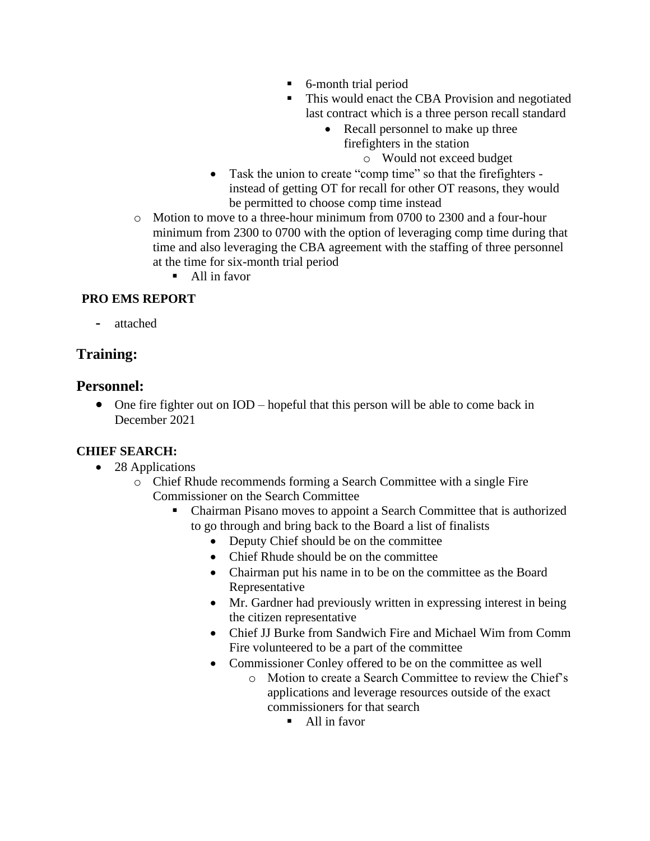- 6-month trial period
- This would enact the CBA Provision and negotiated last contract which is a three person recall standard
	- Recall personnel to make up three firefighters in the station

o Would not exceed budget

- Task the union to create "comp time" so that the firefighters instead of getting OT for recall for other OT reasons, they would be permitted to choose comp time instead
- o Motion to move to a three-hour minimum from 0700 to 2300 and a four-hour minimum from 2300 to 0700 with the option of leveraging comp time during that time and also leveraging the CBA agreement with the staffing of three personnel at the time for six-month trial period
	- All in favor

### **PRO EMS REPORT**

**-** attached

## **Training:**

### **Personnel:**

• One fire fighter out on IOD – hopeful that this person will be able to come back in December 2021

### **CHIEF SEARCH:**

- 28 Applications
	- o Chief Rhude recommends forming a Search Committee with a single Fire Commissioner on the Search Committee
		- Chairman Pisano moves to appoint a Search Committee that is authorized to go through and bring back to the Board a list of finalists
			- Deputy Chief should be on the committee
			- Chief Rhude should be on the committee
			- Chairman put his name in to be on the committee as the Board Representative
			- Mr. Gardner had previously written in expressing interest in being the citizen representative
			- Chief JJ Burke from Sandwich Fire and Michael Wim from Comm Fire volunteered to be a part of the committee
			- Commissioner Conley offered to be on the committee as well
				- o Motion to create a Search Committee to review the Chief's applications and leverage resources outside of the exact commissioners for that search
					- $\blacksquare$  All in favor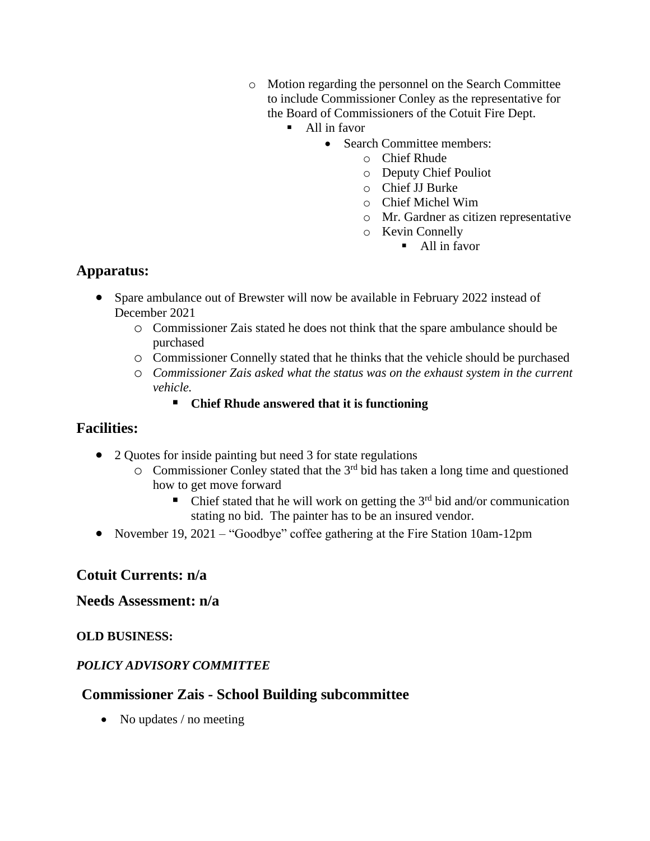- o Motion regarding the personnel on the Search Committee to include Commissioner Conley as the representative for the Board of Commissioners of the Cotuit Fire Dept.
	- All in favor
		- Search Committee members:
			- o Chief Rhude
			- o Deputy Chief Pouliot
			- o Chief JJ Burke
			- o Chief Michel Wim
			- o Mr. Gardner as citizen representative
			- o Kevin Connelly
				- All in favor

# **Apparatus:**

- Spare ambulance out of Brewster will now be available in February 2022 instead of December 2021
	- o Commissioner Zais stated he does not think that the spare ambulance should be purchased
	- o Commissioner Connelly stated that he thinks that the vehicle should be purchased
	- o *Commissioner Zais asked what the status was on the exhaust system in the current vehicle.*
		- **Chief Rhude answered that it is functioning**

### **Facilities:**

- 2 Quotes for inside painting but need 3 for state regulations
	- $\circ$  Commissioner Conley stated that the 3<sup>rd</sup> bid has taken a long time and questioned how to get move forward
		- Chief stated that he will work on getting the  $3<sup>rd</sup>$  bid and/or communication stating no bid. The painter has to be an insured vendor.
- November 19, 2021 "Goodbye" coffee gathering at the Fire Station 10am-12pm

### **Cotuit Currents: n/a**

### **Needs Assessment: n/a**

### **OLD BUSINESS:**

### *POLICY ADVISORY COMMITTEE*

### **Commissioner Zais - School Building subcommittee**

• No updates / no meeting